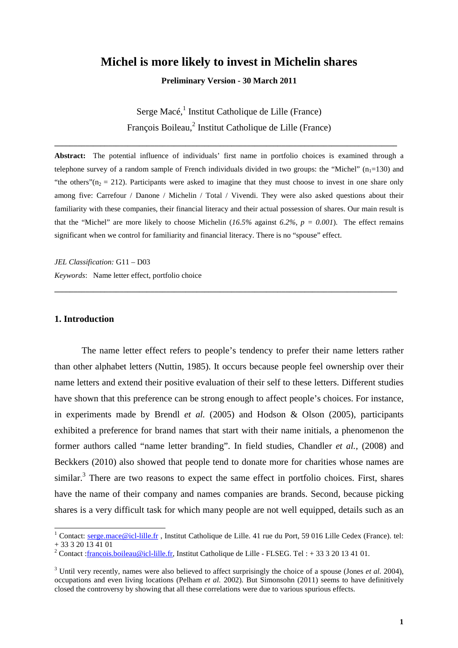# **Michel is more likely to invest in Michelin shares**

**Preliminary Version - 30 March 2011** 

Serge Macé,<sup>1</sup> Institut Catholique de Lille (France) François Boileau,<sup>2</sup> Institut Catholique de Lille (France)

**\_\_\_\_\_\_\_\_\_\_\_\_\_\_\_\_\_\_\_\_\_\_\_\_\_\_\_\_\_\_\_\_\_\_\_\_\_\_\_\_\_\_\_\_\_\_\_\_\_\_\_\_\_\_\_\_\_\_\_\_\_\_\_\_\_\_\_\_\_\_\_\_\_\_\_\_\_\_\_\_\_\_\_\_\_\_\_\_\_** 

**Abstract:** The potential influence of individuals' first name in portfolio choices is examined through a telephone survey of a random sample of French individuals divided in two groups: the "Michel" ( $n_1=130$ ) and "the others"( $n<sub>2</sub> = 212$ ). Participants were asked to imagine that they must choose to invest in one share only among five: Carrefour / Danone / Michelin / Total / Vivendi. They were also asked questions about their familiarity with these companies, their financial literacy and their actual possession of shares. Our main result is that the "Michel" are more likely to choose Michelin ( $16.5\%$  against  $6.2\%$ ,  $p = 0.001$ ). The effect remains significant when we control for familiarity and financial literacy. There is no "spouse" effect.

**\_\_\_\_\_\_\_\_\_\_\_\_\_\_\_\_\_\_\_\_\_\_\_\_\_\_\_\_\_\_\_\_\_\_\_\_\_\_\_\_\_\_\_\_\_\_\_\_\_\_\_\_\_\_\_\_\_\_\_\_\_\_\_\_\_\_\_\_\_\_\_\_\_\_\_\_\_\_\_\_\_\_\_\_\_\_\_\_\_**

*JEL Classification:* G11 – D03 *Keywords*: Name letter effect, portfolio choice

# **1. Introduction**

The name letter effect refers to people's tendency to prefer their name letters rather than other alphabet letters (Nuttin, 1985). It occurs because people feel ownership over their name letters and extend their positive evaluation of their self to these letters. Different studies have shown that this preference can be strong enough to affect people's choices. For instance, in experiments made by Brendl *et al.* (2005) and Hodson & Olson (2005), participants exhibited a preference for brand names that start with their name initials, a phenomenon the former authors called "name letter branding". In field studies, Chandler *et al.,* (2008) and Beckkers (2010) also showed that people tend to donate more for charities whose names are similar.<sup>3</sup> There are two reasons to expect the same effect in portfolio choices. First, shares have the name of their company and names companies are brands. Second, because picking shares is a very difficult task for which many people are not well equipped, details such as an

<sup>&</sup>lt;sup>1</sup> Contact: serge.mace@icl-lille.fr , Institut Catholique de Lille. 41 rue du Port, 59 016 Lille Cedex (France). tel:  $+ 33 3 20 13 41 01$ 

<sup>&</sup>lt;sup>2</sup> Contact : francois.boileau@icl-lille.fr, Institut Catholique de Lille - FLSEG. Tel : + 33 3 20 13 41 01.

 $3$  Until very recently, names were also believed to affect surprisingly the choice of a spouse (Jones *et al.* 2004), occupations and even living locations (Pelham *et al.* 2002). But Simonsohn (2011) seems to have definitively closed the controversy by showing that all these correlations were due to various spurious effects.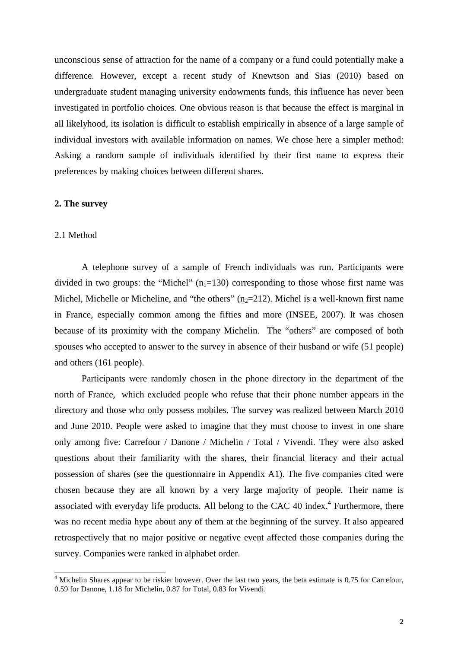unconscious sense of attraction for the name of a company or a fund could potentially make a difference. However, except a recent study of Knewtson and Sias (2010) based on undergraduate student managing university endowments funds, this influence has never been investigated in portfolio choices. One obvious reason is that because the effect is marginal in all likelyhood, its isolation is difficult to establish empirically in absence of a large sample of individual investors with available information on names. We chose here a simpler method: Asking a random sample of individuals identified by their first name to express their preferences by making choices between different shares.

#### **2. The survey**

### 2.1 Method

l

A telephone survey of a sample of French individuals was run. Participants were divided in two groups: the "Michel"  $(n_1=130)$  corresponding to those whose first name was Michel, Michelle or Micheline, and "the others"  $(n_2=212)$ . Michel is a well-known first name in France, especially common among the fifties and more (INSEE, 2007). It was chosen because of its proximity with the company Michelin. The "others" are composed of both spouses who accepted to answer to the survey in absence of their husband or wife (51 people) and others (161 people).

Participants were randomly chosen in the phone directory in the department of the north of France, which excluded people who refuse that their phone number appears in the directory and those who only possess mobiles. The survey was realized between March 2010 and June 2010. People were asked to imagine that they must choose to invest in one share only among five: Carrefour / Danone / Michelin / Total / Vivendi. They were also asked questions about their familiarity with the shares, their financial literacy and their actual possession of shares (see the questionnaire in Appendix A1). The five companies cited were chosen because they are all known by a very large majority of people. Their name is associated with everyday life products. All belong to the CAC 40 index. $4$  Furthermore, there was no recent media hype about any of them at the beginning of the survey. It also appeared retrospectively that no major positive or negative event affected those companies during the survey. Companies were ranked in alphabet order.

<sup>&</sup>lt;sup>4</sup> Michelin Shares appear to be riskier however. Over the last two years, the beta estimate is 0.75 for Carrefour, 0.59 for Danone, 1.18 for Michelin, 0.87 for Total, 0.83 for Vivendi.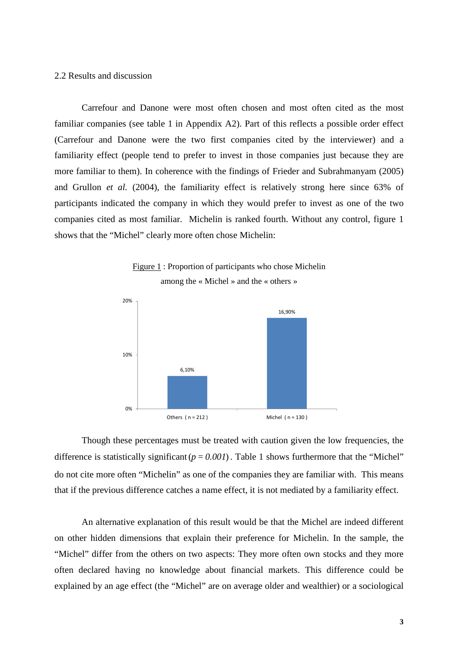# 2.2 Results and discussion

Carrefour and Danone were most often chosen and most often cited as the most familiar companies (see table 1 in Appendix A2). Part of this reflects a possible order effect (Carrefour and Danone were the two first companies cited by the interviewer) and a familiarity effect (people tend to prefer to invest in those companies just because they are more familiar to them). In coherence with the findings of Frieder and Subrahmanyam (2005) and Grullon *et al.* (2004), the familiarity effect is relatively strong here since 63% of participants indicated the company in which they would prefer to invest as one of the two companies cited as most familiar. Michelin is ranked fourth. Without any control, figure 1 shows that the "Michel" clearly more often chose Michelin:





Though these percentages must be treated with caution given the low frequencies, the difference is statistically significant  $(p = 0.001)$ . Table 1 shows furthermore that the "Michel" do not cite more often "Michelin" as one of the companies they are familiar with. This means that if the previous difference catches a name effect, it is not mediated by a familiarity effect.

An alternative explanation of this result would be that the Michel are indeed different on other hidden dimensions that explain their preference for Michelin. In the sample, the "Michel" differ from the others on two aspects: They more often own stocks and they more often declared having no knowledge about financial markets. This difference could be explained by an age effect (the "Michel" are on average older and wealthier) or a sociological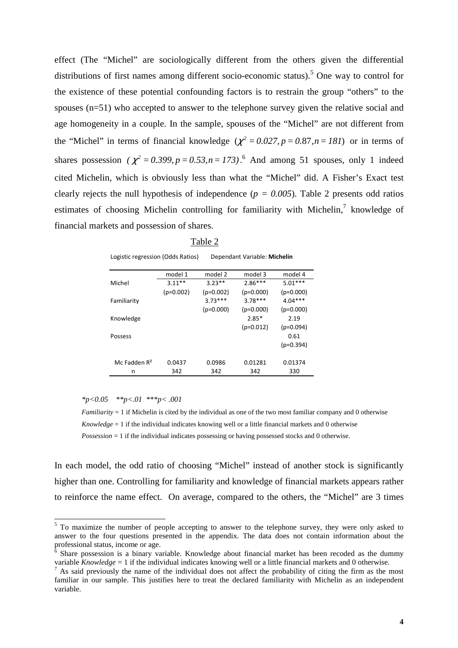effect (The "Michel" are sociologically different from the others given the differential distributions of first names among different socio-economic status).<sup>5</sup> One way to control for the existence of these potential confounding factors is to restrain the group "others" to the spouses (n=51) who accepted to answer to the telephone survey given the relative social and age homogeneity in a couple. In the sample, spouses of the "Michel" are not different from the "Michel" in terms of financial knowledge  $(\chi^2 = 0.027, p = 0.87, n = 181)$  or in terms of shares possession  $(\chi^2 = 0.399, p = 0.53, n = 173)$ .<sup>6</sup> And among 51 spouses, only 1 indeed cited Michelin, which is obviously less than what the "Michel" did. A Fisher's Exact test clearly rejects the null hypothesis of independence ( $p = 0.005$ ). Table 2 presents odd ratios estimates of choosing Michelin controlling for familiarity with Michelin, $7$  knowledge of financial markets and possession of shares.

Logistic regression (Odds Ratios) Dependant Variable: **Michelin**

|                 | model 1     | model 2     | model 3     | model 4     |
|-----------------|-------------|-------------|-------------|-------------|
| Michel          | $3.11**$    | $3.23**$    | $2.86***$   | $5.01***$   |
|                 | $(p=0.002)$ | $(p=0.002)$ | $(p=0.000)$ | $(p=0.000)$ |
| Familiarity     |             | $3.73***$   | $3.78***$   | $4.04***$   |
|                 |             | $(p=0.000)$ | $(p=0.000)$ | $(p=0.000)$ |
| Knowledge       |             |             | $2.85*$     | 2.19        |
|                 |             |             | $(p=0.012)$ | $(p=0.094)$ |
| Possess         |             |             |             | 0.61        |
|                 |             |             |             | $(p=0.394)$ |
|                 |             |             |             |             |
| Mc Fadden $R^2$ | 0.0437      | 0.0986      | 0.01281     | 0.01374     |
| n               | 342         | 342         | 342         | 330         |

*\*p<0.05 \*\*p<.01 \*\*\*p< .001* 

*Familiarity* = 1 if Michelin is cited by the individual as one of the two most familiar company and 0 otherwise *Knowledge* = 1 if the individual indicates knowing well or a little financial markets and 0 otherwise *Possession* = 1 if the individual indicates possessing or having possessed stocks and 0 otherwise.

In each model, the odd ratio of choosing "Michel" instead of another stock is significantly higher than one. Controlling for familiarity and knowledge of financial markets appears rather to reinforce the name effect. On average, compared to the others, the "Michel" are 3 times

<sup>&</sup>lt;sup>5</sup> To maximize the number of people accepting to answer to the telephone survey, they were only asked to answer to the four questions presented in the appendix. The data does not contain information about the professional status, income or age.

<sup>6</sup> Share possession is a binary variable. Knowledge about financial market has been recoded as the dummy variable *Knowledge* = 1 if the individual indicates knowing well or a little financial markets and 0 otherwise.

<sup>7</sup> As said previously the name of the individual does not affect the probability of citing the firm as the most familiar in our sample. This justifies here to treat the declared familiarity with Michelin as an independent variable.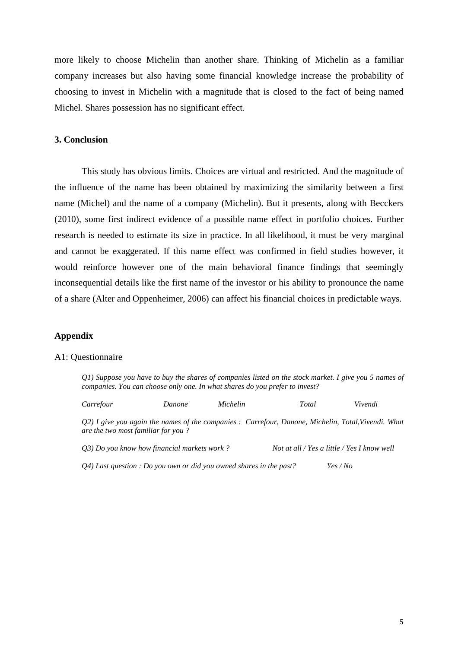more likely to choose Michelin than another share. Thinking of Michelin as a familiar company increases but also having some financial knowledge increase the probability of choosing to invest in Michelin with a magnitude that is closed to the fact of being named Michel. Shares possession has no significant effect.

# **3. Conclusion**

 This study has obvious limits. Choices are virtual and restricted. And the magnitude of the influence of the name has been obtained by maximizing the similarity between a first name (Michel) and the name of a company (Michelin). But it presents, along with Becckers (2010), some first indirect evidence of a possible name effect in portfolio choices. Further research is needed to estimate its size in practice. In all likelihood, it must be very marginal and cannot be exaggerated. If this name effect was confirmed in field studies however, it would reinforce however one of the main behavioral finance findings that seemingly inconsequential details like the first name of the investor or his ability to pronounce the name of a share (Alter and Oppenheimer, 2006) can affect his financial choices in predictable ways.

#### **Appendix**

### A1: Questionnaire

*Q1) Suppose you have to buy the shares of companies listed on the stock market. I give you 5 names of companies. You can choose only one. In what shares do you prefer to invest?* 

*Q2) I give you again the names of the companies : Carrefour, Danone, Michelin, Total,Vivendi. What are the two most familiar for you ?* 

*Carrefour Danone Michelin Total Vivendi* 

| Q3) Do you know how financial markets work ? | Not at all / Yes a little / Yes I know well |
|----------------------------------------------|---------------------------------------------|
|                                              |                                             |

*Q4) Last question : Do you own or did you owned shares in the past? Yes / No*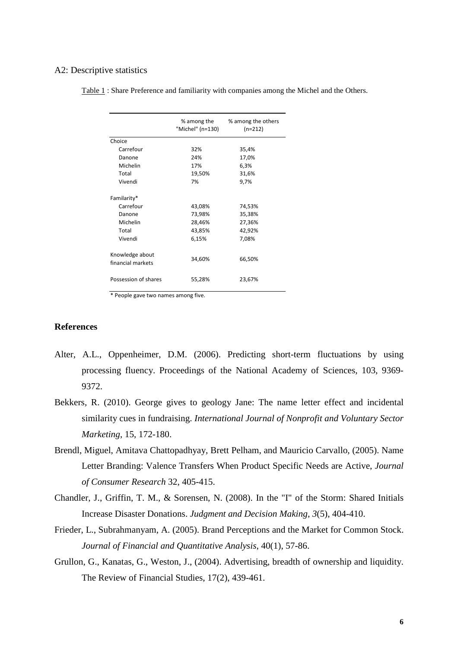## A2: Descriptive statistics

|                                      | % among the<br>"Michel" (n=130) | % among the others<br>$(n=212)$ |
|--------------------------------------|---------------------------------|---------------------------------|
| Choice                               |                                 |                                 |
| Carrefour                            | 32%                             | 35,4%                           |
| Danone                               | 24%                             | 17,0%                           |
| Michelin                             | 17%                             | 6,3%                            |
| Total                                | 19,50%                          | 31,6%                           |
| Vivendi                              | 7%                              | 9,7%                            |
| Familarity*                          |                                 |                                 |
| Carrefour                            | 43,08%                          | 74,53%                          |
| Danone                               | 73,98%                          | 35,38%                          |
| Michelin                             | 28,46%                          | 27,36%                          |
| Total                                | 43,85%                          | 42,92%                          |
| Vivendi                              | 6,15%                           | 7,08%                           |
| Knowledge about<br>financial markets | 34,60%                          | 66,50%                          |
| Possession of shares                 | 55,28%                          | 23,67%                          |
|                                      |                                 |                                 |

Table 1 : Share Preference and familiarity with companies among the Michel and the Others.

\* People gave two names among five.

# **References**

- Alter, A.L., Oppenheimer, D.M. (2006). Predicting short-term fluctuations by using processing fluency. Proceedings of the National Academy of Sciences, 103, 9369- 9372.
- Bekkers, R. (2010). George gives to geology Jane: The name letter effect and incidental similarity cues in fundraising. *International Journal of Nonprofit and Voluntary Sector Marketing*, 15, 172-180.
- Brendl, Miguel, Amitava Chattopadhyay, Brett Pelham, and Mauricio Carvallo, (2005). Name Letter Branding: Valence Transfers When Product Specific Needs are Active, *Journal of Consumer Research* 32, 405-415.
- Chandler, J., Griffin, T. M., & Sorensen, N. (2008). In the "I" of the Storm: Shared Initials Increase Disaster Donations. *Judgment and Decision Making, 3*(5), 404-410.
- Frieder, L., Subrahmanyam, A. (2005). Brand Perceptions and the Market for Common Stock. *Journal of Financial and Quantitative Analysis*, 40(1), 57-86.
- Grullon, G., Kanatas, G., Weston, J., (2004). Advertising, breadth of ownership and liquidity. The Review of Financial Studies, 17(2), 439-461.